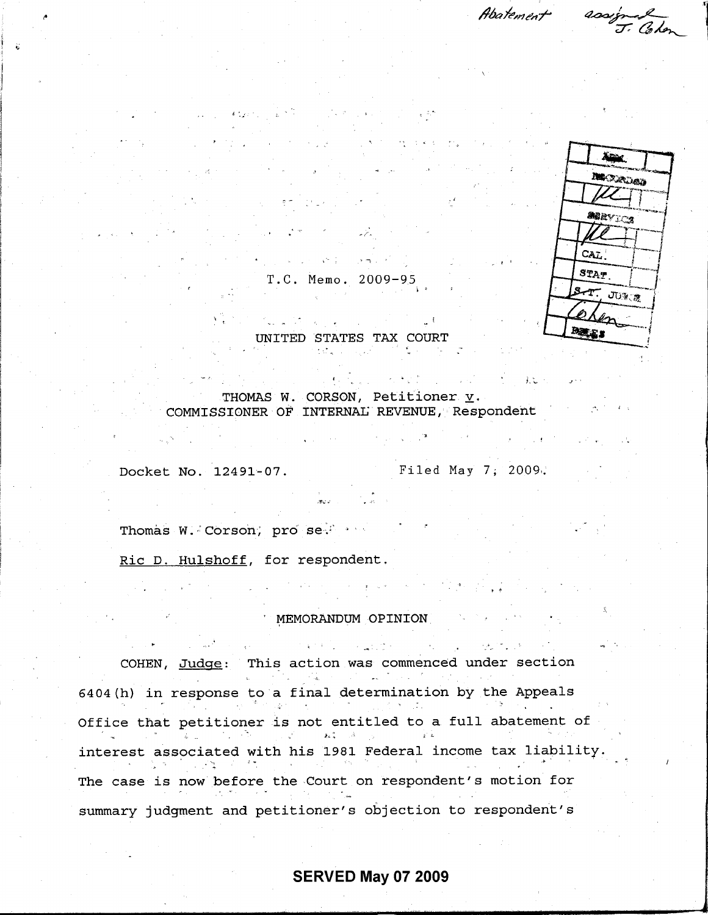Abatement

assigned



T.C. Memo. 2009-95

المجان أناد والمتعارض والمتعارفة متحالي UNITED STATES TAX COURT

THOMAS W. CORSON, Petitioner  $\underline{v}$ . COMMISSIONER OF INTERNAL REVENUE, Respondent

Docket No. 12491-07. Filed May 7, 2009.

主义

Thomas W. Corson, pro se.

Ric D. Hulshoff, for respondent.

## MEMORANDUM OPINION

しょうちょう しんぱんのう COHEN, Judge: This action was commenced under section  $\mathcal{L}_{\text{max}}$  , and  $\mathcal{L}_{\text{max}}$ 6404(h) in response to a final determination by the Appeals Office that petitioner is not entitled to a full abatement of  $\frac{1}{2}$ interest associated with his 1981 Federal income tax liability.  $\mathcal{L} \in \mathcal{L}^{\infty}_{\mathbf{R}}$  . The case is now before the Court on respondent's motion for summary judgment and petitioner's objection to respondent' s

# **SERVED May 07 2009**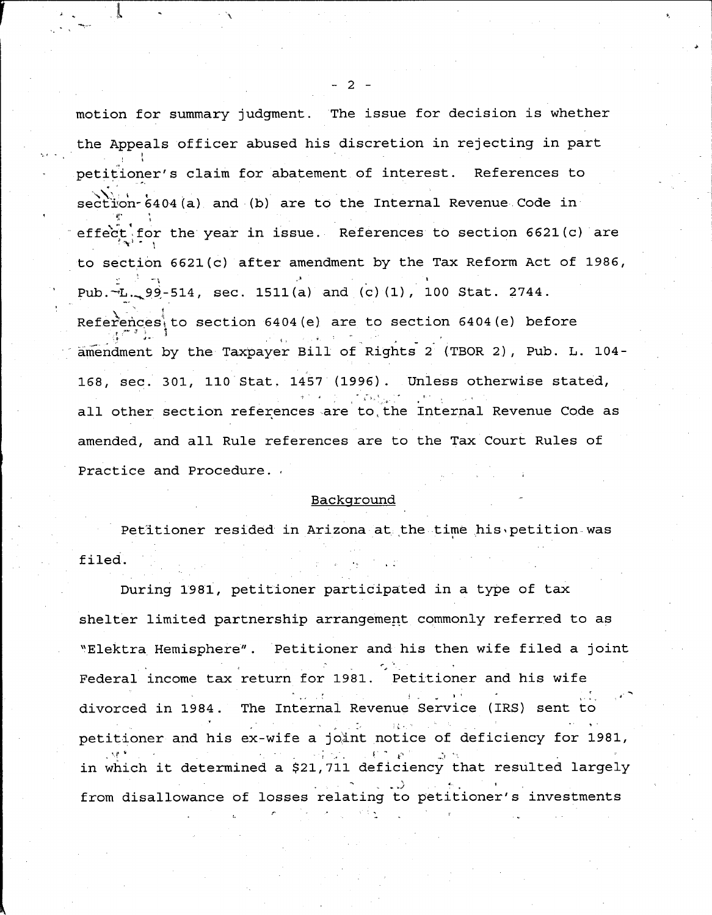motion for summary judgment. The issue for decision is whether the Appeals officer abused his discretion in rejecting in part petitioner's claim for abatement of interest. References to section-6404(a) and (b) are to the Internal Revenue Code in effect for the year in issue. References to section 6621(c) are **to section 6621** ( **c) after amendment** by the Tax **Reform Act of 1986 ,** Pub . $-L = 99 - 514$ , sec. 1511(a) and (c) (1), 100 Stat. 2744. References<sub>t</sub> to section 6404(e) are to section 6404(e) before amendment by the Taxpayer Bill of Rights 2 (TBOR 2), Pub. L. 104-168, sec. 301, 110 Stat. 1457 (1996). Unless otherwise stated, all other section references are to the Internal Revenue Code as amended, and all Rule references are to the Tax Court Rules of Practice and Procedure.

# Background

Petitioner resided in Arizona at the time his petition was filed.

During 1981, petitioner participated in a type of tax shelter limited partnership arrangement commonly referred to as "Elektra Hemisphere" . Petitioner and his then wife filed a joint Federal income tax return for 1981. Petitioner and his wife divorced in 1984 . The Internal Revenue Service (IRS) sent to petitioner and his ex-wife a joint notice of deficiency for 1981,<br>  $\mathbf{r} = \mathbf{r} + \mathbf{r} = \mathbf{r} + \mathbf{r}$ r in which it determined a \$21,711 deficiency that resulted largely from disallowance **of losses** relating to petitioner **'s investments**

- 2 -

L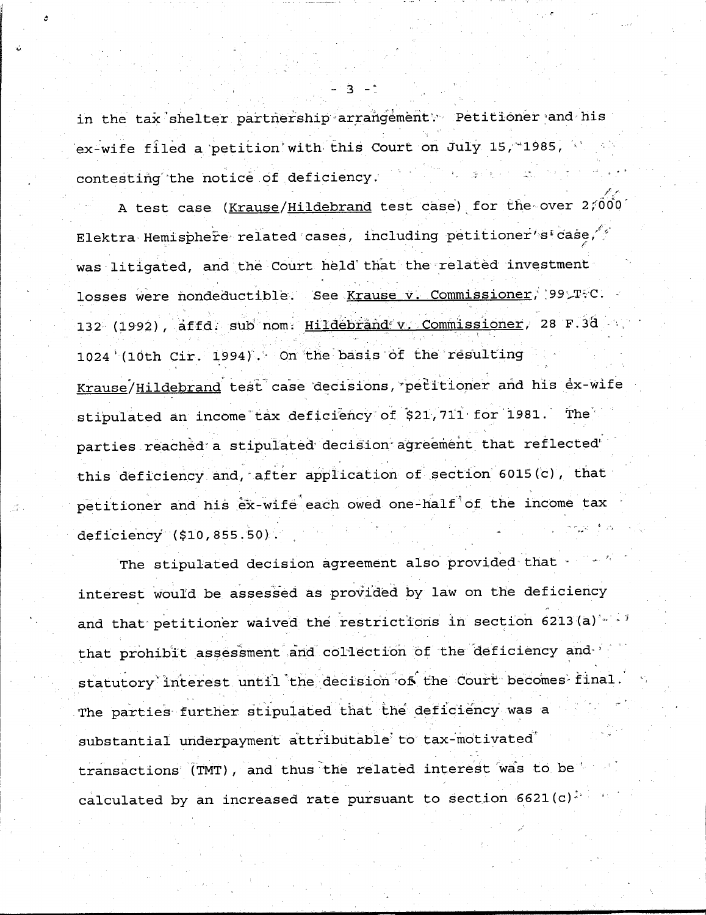in the tax shelter partnership arrangement\ Petitioner and his ex-wife filed a petition with this Court on July 15, 1985, contesting the notice . **of .deficiency . '**

A test case (Krause/Hildebrand test case) for the over 2,000 **Elektra Hemisphere related :cases** , **including** petitioner' **sEcase,** was litigated, and the Court held that the related investment losses were nondeductible. See Krause v Commissioner, '99 TFC. **132 (1992** ), **affd . sub nom ; Hild**e' **brandcv** . . **Commissioner** , **28 F .3d 1024** '( **10th Cir . 1994** ) . **On the basis** 'of **the** ' **resulting** Krause/Hildebrand test case decisions, petitioner and his ex-wife stipulated **an income** tax deficiency`of \$2l,711•for 1981 . Th parties reached a stipulated decision agreement that reflected this deficiency and, after application of section 6015(c), that petitioner and his ex-wife each owed one-half of the income tax deficiency **(\$10,855 .50 )**

The stipulated decision agreement also provided that interest would be assessed as provided by law on the deficiency and that petitioner waived the restrictions in section 6213(a)'--that prohibit assessment and collection of the deficiency andstatutory interest until the decision of the Court becomes final. The parties further stipulated that the deficiency was a substantial underpayment attributable to tax-motivated transactions (TMT), and thus the related interest was to be calculated by an increased rate pursuant to section  $6621(c)^{2+1}$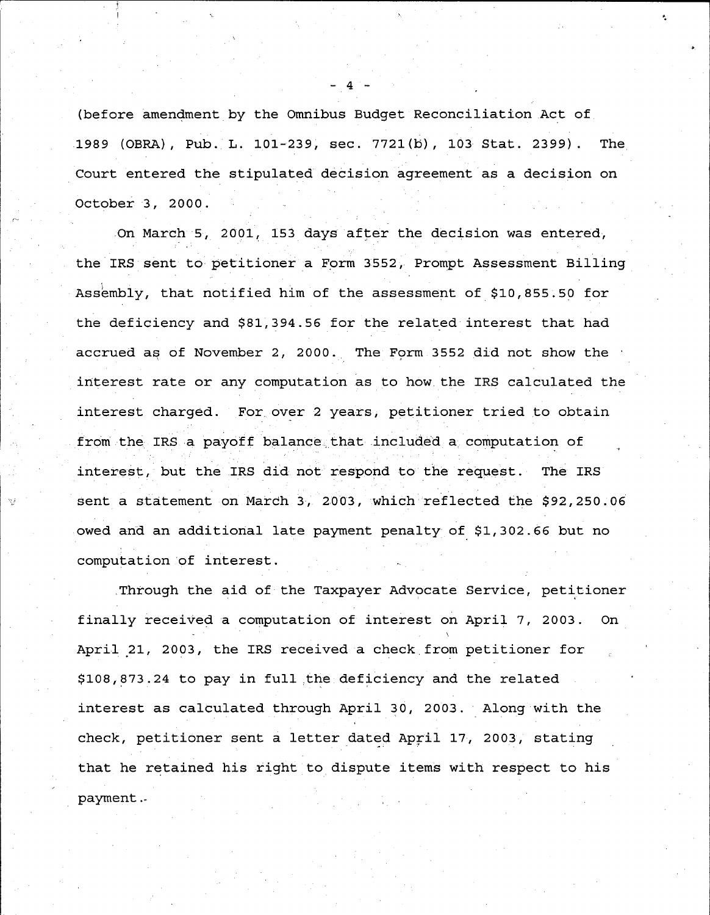(before amendment by the Omnibus Budget Reconciliation Act of . 1989 (OBRA), Pub. L. 101-239, sec. 7721(b), 103 Stat. 2399). The Court entered the stipulated decision **agreement as a decision on** October 3, 2000 .

.On March 5, 2001, 153 days after the **decision** was entered, the IRS sent to petitioner a Form 3552, **Prompt Assessment** Billing Assembly, that notified him of the **assessment** of \$10,855 .50 for the deficiency and \$81,394 .56 for the related interest that had accrued as of November 2, 2000 . The Form 3552 did not show the interest rate or any computation as to how the IRS calculated the interest charged. For over 2 years, petitioner tried to obtain from the IRS a payoff balance that included a computation of **interest** , **but the IRS** did not **respond to the request** . **The IRS** sent a statement on March 3, 2003, which reflected the \$92,250.06 owed and an additional late payment penalty of \$1,302 .66 but no computation of interest .

.Through the aid of the Taxpayer Advocate Service, petitioner finally received a computation of interest on April 7, 2003 . On April 21, 2003, the IRS received a check from petitioner for \$108,873 .24 to pay in full-the deficiency and the related interest as calculated through April 30, 2003. Along with the check, petitioner sent a letter dated April 17, 2003, stating that he retained his right to dispute items with respect to his payment .-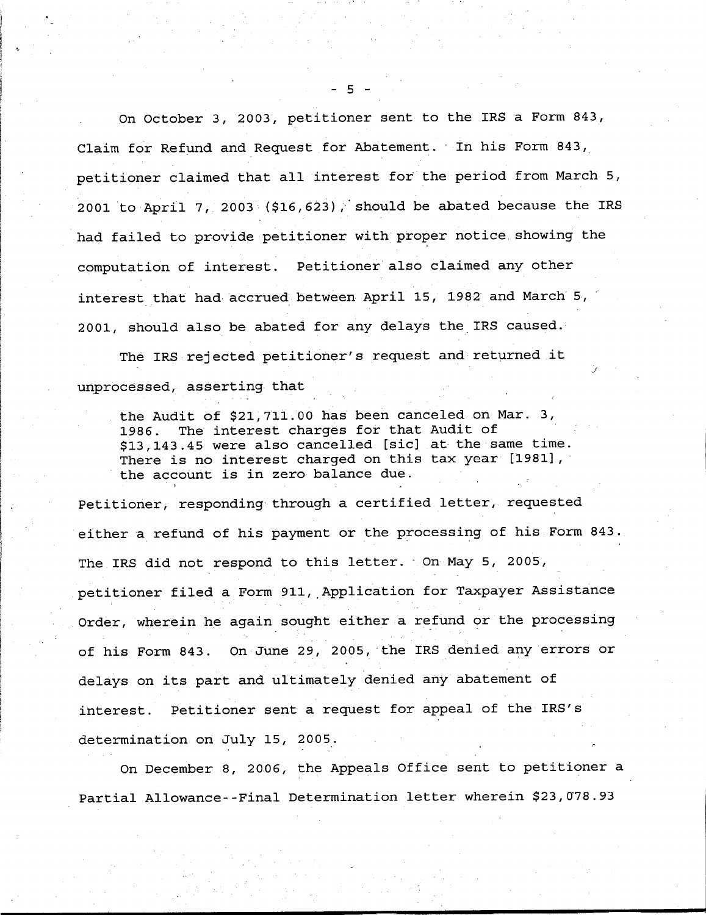**On October 3, 2003, petitioner sent to the IRS a Form 843, Claim for Refund and Request for Abatement** ., **In his Form 843, petitioner claimed that all interest for the period from March 5,** 2001 to April 7, 2003 (\$16,623), should be abated because the IRS had failed to provide petitioner with proper notice showing the **computation of interest** . Petitioner **also claimed any other interest that had accrued between April 15, 1982 and March'5,' 2001, should also be abated for any delays the IRS caused .**

The IRS rejected petitioner's request and returned it **unprocessed** , **asserting that**

**the Audit of \$21,711 .00 has been canceled on Mar . 3, 1986 . The interest charges for that Audit of** \$ **13,143 .45 were also cancelled** [ **sic] at the same time . There is no interest charged on this tax year [1981], the account is in zero balance due .**

**Petitioner** , **responding-through a certified letter, requested either a refund of his payment or the processing of** his **Form** 843 . The **IRS did not respond to this letter .- On May 5, 2005,** petitioner filed a Form 911, Application for Taxpayer Assistance **Order, wherein he again sought either a refund or the processing of his Form 843 . On June 29, 2005, the IRS denied any errors or delays on its part and** ultimately **denied any abatement of interest** . **Petitioner sent a request for appeal of the IRS' s determination on July 15, 2005 .**

**On December 8, 2006, the Appeals Office sent to petitioner a Partial Allowance--Final Determination letter wherein** \$**23,078 .93**

**5 -**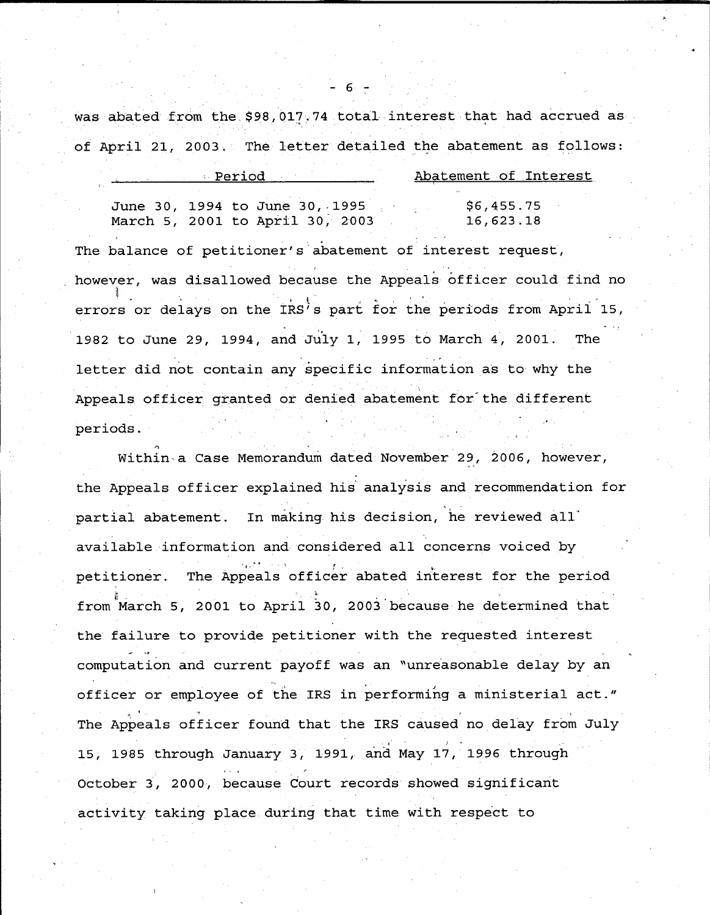was abated from the \$98,017.74 total interest that had accrued as **of April 21** , **2003 . The letter detailed the abatement as follows :**

**6 -**

| - Period |  |                                 | Abatement of Interest |            |  |
|----------|--|---------------------------------|-----------------------|------------|--|
|          |  |                                 |                       |            |  |
|          |  | June 30, 1994 to June 30, 1995  |                       | \$6,455.75 |  |
|          |  | March 5, 2001 to April 30, 2003 |                       | 16,623.18  |  |

**The balance of petitioner** ' **s'abatement of interest request ,** however, was disallowed because the Appeals officer could find no t **errors or delays on the IRS's part for the periods from April 15 , 1982 to June 29, 1994, and July 1, 1995 to March 4** , **2001 . The letter did not contain any specific information as to why the Appeals officer**. **granted or denied abatement for'the different periods .**

Within- **a Case Memorandum dated November 29, 2006, however ,** the Appeals officer explained his analysis and recommendation for **partial abatement . In making his decision** , **he reviewed all' available information and considered all concerns voiced by petitioner** . **The Appeals officer abated interest for the period from March 5, 2001 to April 30, 2003'because he determined that the failure to provide petitioner with the requested interest computation and current payoff was an "unreasonable delay by an officer or employee of the IRS in performing a ministerial act ."** The Appeals officer found that the IRS caused no delay from July **15, 1985 through January 3, 1991, and May 17, 1996 through October 3** , **2000, because Court records showed significant activity taking** place **during that time with** respect **to**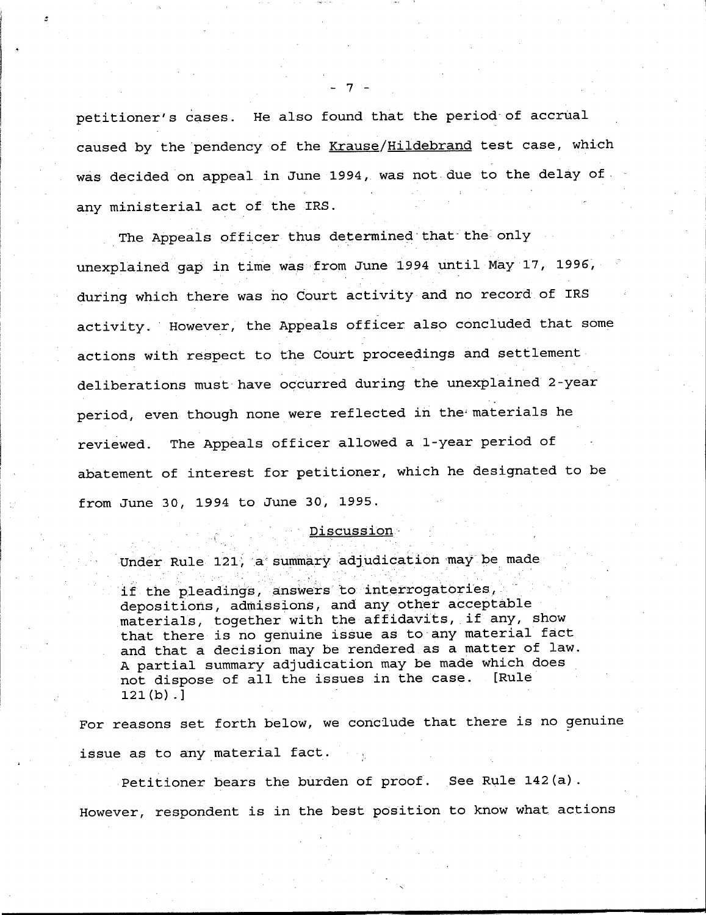**petitioner** ' **s cases . He also found that the period**- **of accrual caused by the'pendency of the Krause** /**Hildebrand test case, which** was decided on appeal in June 1994, was not due to the delay of **any ministerial act of the IRS .**

The Appeals officer thus determined that the only **unexplained gap in time was from June 1994 until May 17, 1996, during which there was** no Court activity **and no record of IRS** activity. However, the Appeals officer also concluded that some **actions with respect to** the Court **proceedings and settlement deliberations must have occurred during the unexplained 2-year** period, even though none were reflected in the materials he **reviewed** . **The Appeals officer allowed a 1-year period of abatement of interest for petitioner** , **which he designated to be from June 30, 1994 to June 30, 1995 .**

#### **. Discussion -**

**Under Rule 121, a**` **summary adjudication may be made**

**if the pleadings** , answers to **interrogatories, depositions** , **admissions** , **and any other acceptable .materials** , **together with the affidavits, . if any, show that there is no genuine issue as to-any material fact and that a decision may be rendered as a matter of law . A partial summary adjudication may be made which does not dispose of all the issues in the case . [Rule 121(b) . ]**

**For reasons set forth below, we conclude that there is no genuine issue as to any material fact . .**

**Petitioner bears the burden of proof . See Rule 142(a) . However, respondent is in the best position to know what actions**

7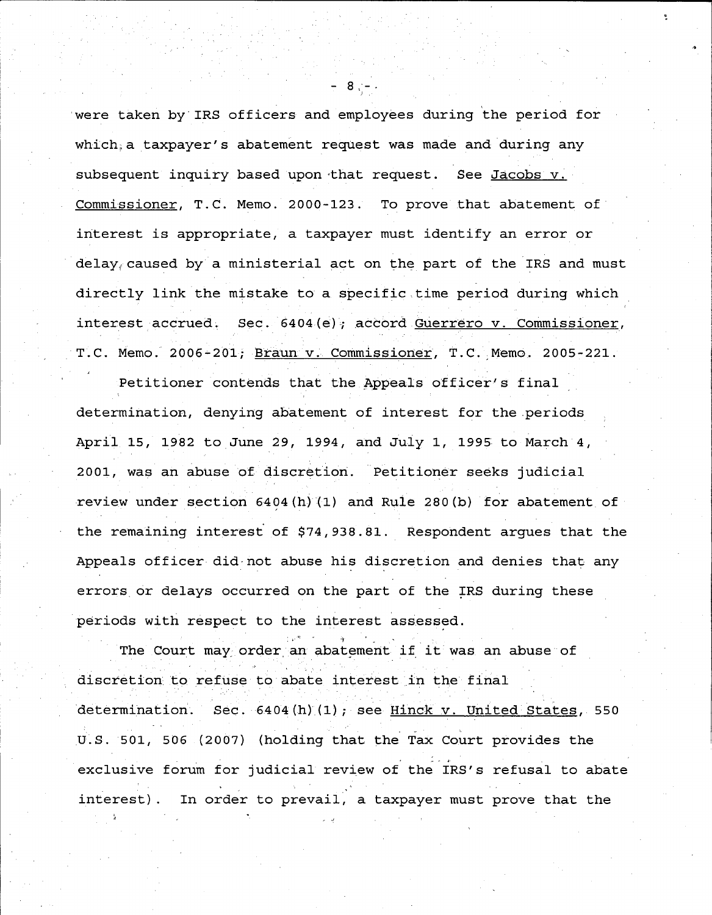'were taken by IRS officers and employees during the period for which a taxpayer's abatement request was made and during any subsequent inquiry based upon that request. See Jacobs v. Commissioner, T.C. Memo. 2000-123. To prove that abatement of interest is appropriate, a taxpayer must identify an error or  $delay<sub>f</sub>$  caused by a ministerial act on the part of the IRS and must directly link the mistake to a specific,time period during which interest accrued. Sec. 6404(e); accord Guerrero v. Commissioner, T.C. Memo. 2006-201; Braun v. Commissioner, T.C. Memo. 2005-221.

Petitioner contends that the Appeals officer's final determination, denying abatement of interest for the periods April 15, 1982 to June 29, 1994, and July 1, 1995 to March 4, 2001, was an abuse of discretion. Petitioner seeks judicial review under section  $6404(h)(1)$  and Rule 280(b) for abatement of the remaining interest of \$74,938 .81 . Respondent argues that the Appeals officer did not abuse his discretion and denies that any errors or delays occurred on the part of the IRS during these periods with respect to the interest **assessed .**

The Court may order an abatement if it was an abuse of discretion to refuse to abate interest in the final determination. Sec.  $6404(h)(1)$ ; see Hinck v. United States, 550 U.S. 501, 506 (2007) (holding that the Tax Court provides the exclusive forum for judicial review of the IRS's refusal to abate interest) . In order to prevail, a taxpayer must prove that the

**<sup>8</sup> ; - •**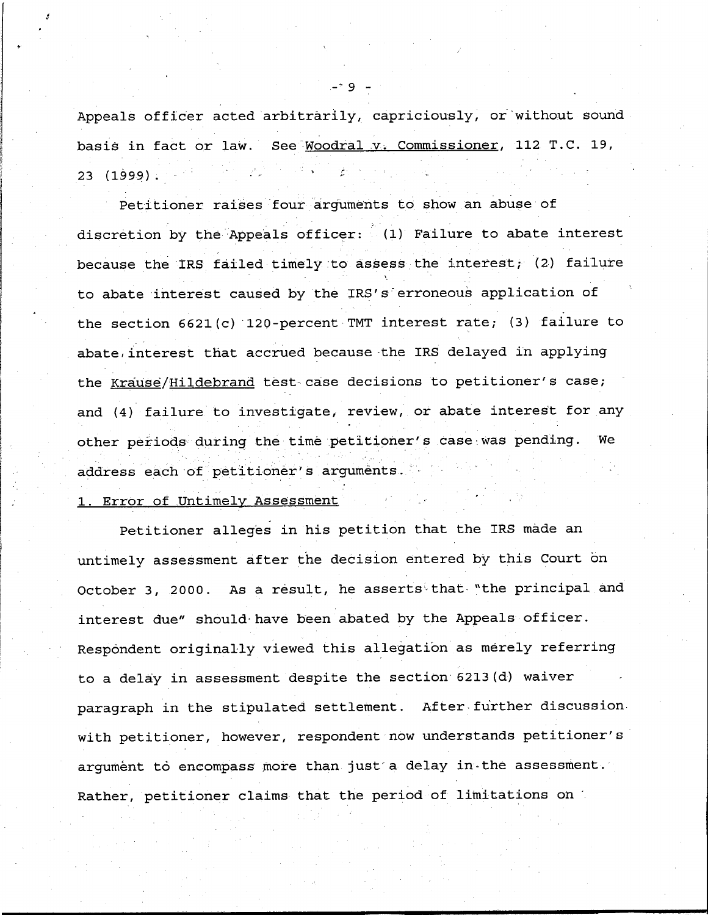Appeals officer acted arbitrarily, capriciously, or'without sound basis in fact or law. See Woodral v. Commissioner, 112 T.C. 19, 23 (1999 )

Petitioner raises four arguments to show an abuse of discretion by the Appeals officer:  $(1)$  Failure to abate interest because the IRS failed timely to assess the interest; (2) failure to abate interest caused by the IRS's erroneous application of the section  $6621(c)$  120-percent TMT interest rate; (3) failure to abate interest that accrued because the IRS delayed in applying the Krause/Hildebrand test-case decisions to petitioner's case; and (4) failure to investigate, review, or abate interest for any other periods during the time petitioner's case was pending. We **address each-** of petitioner' **s arguments .**

## 1. Error of Untimely Assessment

Petitioner alleges in his petition that the IRS made an untimely assessment after the decision entered by this Court on October 3, 2000. As a result, he asserts that "the principal and interest due" should have been abated by the Appeals officer . Respondent originally viewed this allegation as merely referring to a delay **in assessment** despite the section 6213(d) waiver paragraph in the stipulated settlement. After further discussion. with petitioner, however, respondent now understands petitioner's argument to encompass more than just a delay in the assessment. Rather, petitioner claims that the period of limitations on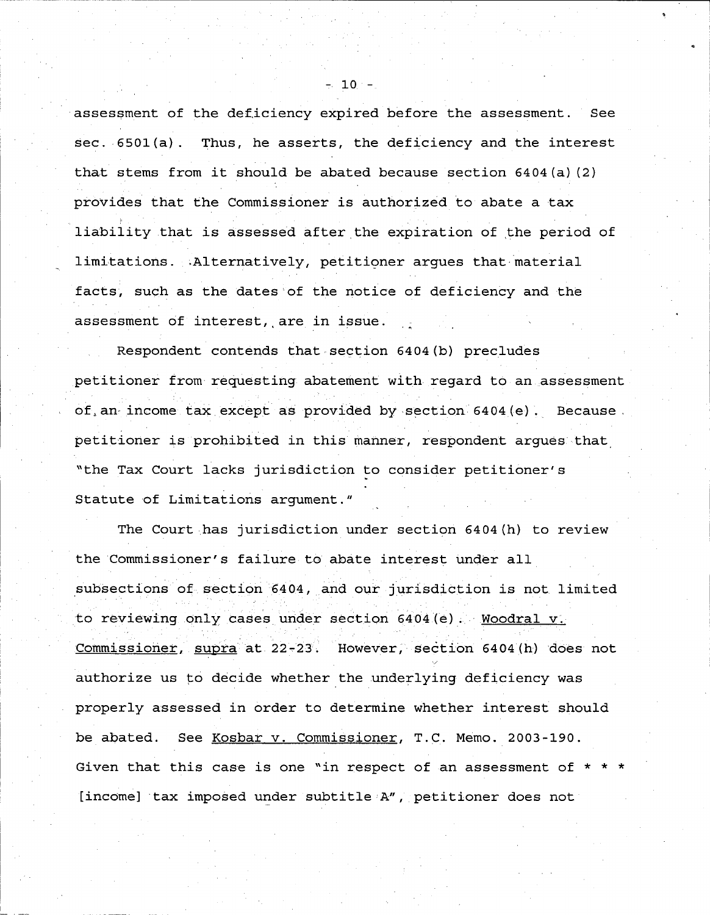**assessment** of the deficiency expired before the **assessment . See sec . .6501** ( **a) . Thus, he asserts** , **the deficiency and the interest that stems from it should be abated because section 6404(a)(2) provides that the Commissioner is authorized to abate a tax** liability that is assessed after the expiration of the period of limitations . Alternatively, petitioner argues that material **facts, such as the** dates of **the notice of deficiency and the assessment of interest** ,, **are in issue .**

Respondent contends that section 6404(b) precludes **petitioner from requesting abatement with regard to an** , **assessment** of, an income tax except as provided by section 6404(e). Because petitioner is prohibited in this manner, respondent argues that, "the Tax Court lacks jurisdiction to consider petitioner' s Statute of Limitations argument . "

The Court .has jurisdiction under section 6404(h) to review **the Commissioner** ' **s failure to abate interest under all** subsections of section 6404, and our jurisdiction is not limited to reviewing only cases under section 6404 (e). Woodral v. **Commissioner** , **supra at 22** - **23 . However** , **section 6404** ( **h) does not** authorize us to decide whether the underlying deficiency was properly **assessed** in order to determine whether interest should **be abated** . **See Kosbar v . Commissioner** , **T .C . Memo . 2003-190 . Given that this case is one "in respect of an assessment of** [income] tax imposed under subtitle A", petitioner does not

 $-10 -$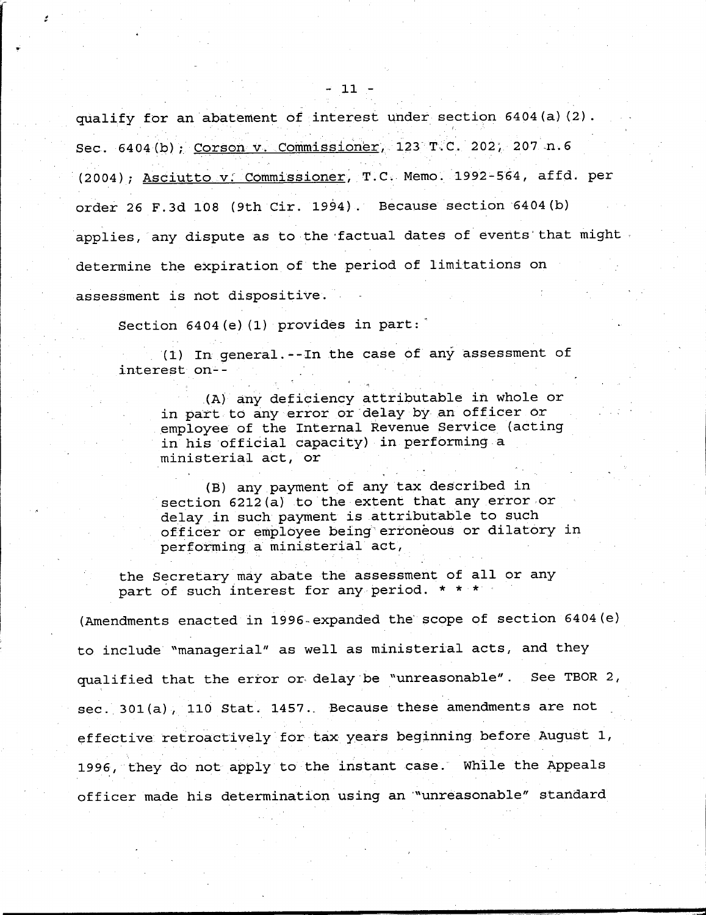$-11 -$ 

qualify for **an abatement of interest under section 6404(a)(2 Sec . 6404** ( **b) Corson v. .Commissioner**, 123 T . C,. **202 ; . 207 .n . <sup>6</sup> (2004** ) ; Asciutto **v . Commissioner** , **T .C . Memo . 1992** - **564, affd . per** order **26 F .3d 108 (9th Cir . 1994** ) . **Because section'6404(b)** applies, any dispute as to the factual dates of events that might**determine the expiration of the period of limitations on assessment is not dispositive . -**

Section 6404 (e) (1) provides in part:

**(1) In general** .-- **In** the **case of any assessment of interest on--**

.(A) any deficiency attributable in whole or in part to any error or delay by an officer or employee of the Internal Revenue Service (acting in his official capacity) in performing a ministerial act, or

(B) any payment of any tax described in section 6212(a) to the extent that any error or delay in such payment is attributable to such officer or employee being' erroneous or dilatory in performing a ministerial act,

the Secretary may abate **the assessment** of all or any part of such interest for any period. \* \* \*

(Amendments enacted in 1996-expanded the'scope of section 6404(e) to include "managerial" as well as ministerial acts, and they qualified that the error or-delay-be "unreasonable" . See TBOR 2, sec.  $301(a)$ ,  $110$  Stat.  $1457$ . Because these amendments are not effective. retroactively for tax years beginning before August 1, 1996, they do not apply to the instant case. While the Appeals officer made his determination using an'"unreasonable" standard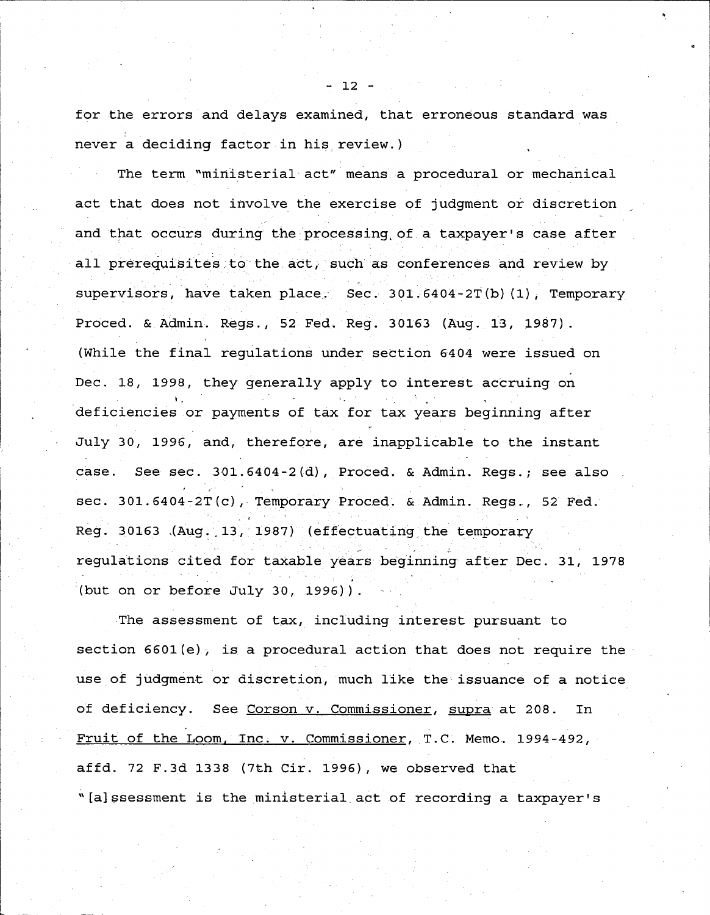for the errors and delays examined, that erroneous standard was never a deciding factor in his review.)

The term "ministerial act" means a procedural or mechanical act that does not involve the exercise of judgment or discretion and that occurs during the processing of a taxpayer's case after all prerequisites to the act, such as conferences and review by supervisors, have taken place. Sec. 301.6404-2T(b)(1), Temporary Proced. & Admin. Regs., 52 Fed. Reg. 30163 (Aug. 13, 1987). (While the final regulations under section 6404 were issued on Dec. 18, 1998, they generally apply to interest accruing on deficiencies or payments of tax for tax years beginning after July 30, 1996, and, therefore, are inapplicable to the instant case. See sec. 301.6404-2(d), Proced. & Admin. Reqs.; see also sec.  $301.6404 - 2T(c)$ , Temporary Proced. & Admin. Regs., 52 Fed. Reg. 30163 (Aug. 13, 1987) (effectuating the temporary regulations cited for taxable years beginning after Dec . 31, 1978 (but on or before July 30, 1996)).

The assessment of tax, including interest pursuant to section  $6601(e)$ , is a procedural action that does not require the use of judgment or discretion, much like the issuance of a notice of deficiency. See Corson v. Commissioner, supra at 208. In Fruit of the Loom, Inc. v. Commissioner, T.C. Memo. 1994-492, affd. 72 F.3d 1338 (7th Cir. 1996), we observed that "[a]ssessment is the ministerial act of recording a taxpayer's

 $- 12 -$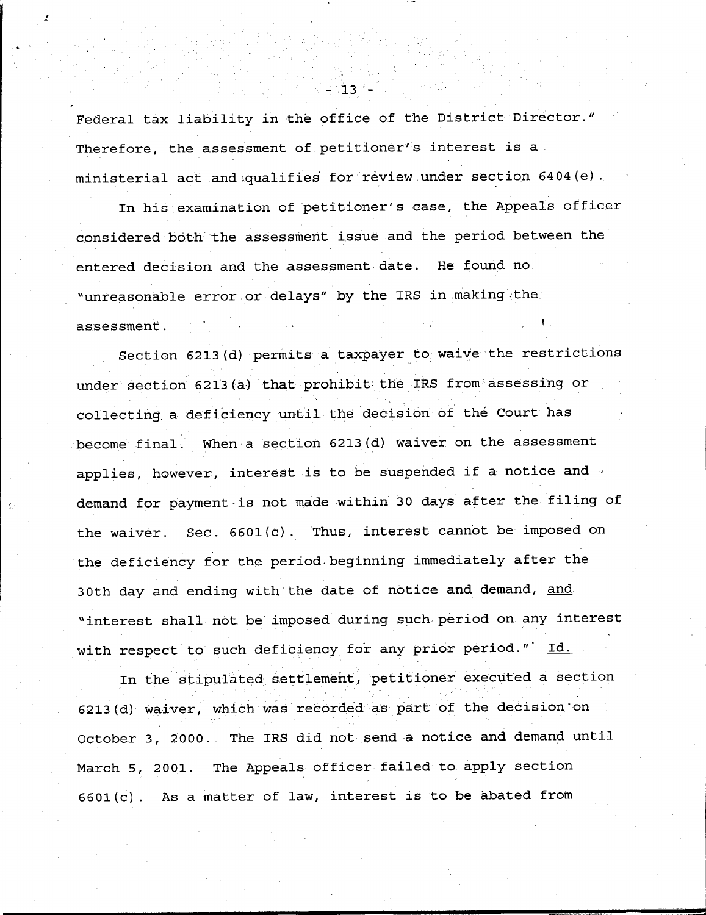**Federal tax** liability **in the office of the District Director ." Therefore** , **the assessment** of ,petitioner's **interest is a**  $ministerial$  act and qualifies for review under section 6404(e).

In his examination of petitioner's case, the Appeals officer **considered** both the **assessment issue and the period between the entered decision and the assessment date . He found no . "unreasonable** error or **delays**" by the '**IRS in** . **making .the assessment .**

Section 6213(d) permits a taxpayer to waive the restrictions under section 6213 (a) that prohibit the IRS from assessing or **collecting**, **a deficiency until the decision of the Court has become final** . **When a section 6213** ( **d) waiver on the assessment** applies, however, interest is to be suspended if a notice and  $\sim$ demand for payment is not made within 30 days after the filing of **the waiver** . **Sec . 6601** ( **c) . `Thus, interest cannot be imposed on** the deficiency for the period beginning immediately after the **30th day and ending** with the **date of notice and demand, and "interest shall not be imposed during such**. **period on any interest** with respect to such deficiency for any prior period."  $Id.$ 

**In the stipulated settlement** , **petitioner executed a sectio n 6213** ( **d) waiver, which was recorded as part of .the decision'on October 3** , **2000 . The IRS did not send a notice and demand until March 5, 2001** . **The Appeals officer failed to apply section 6601** ( **c) . As a matter of law, interest is to be abated from**

 $-13-$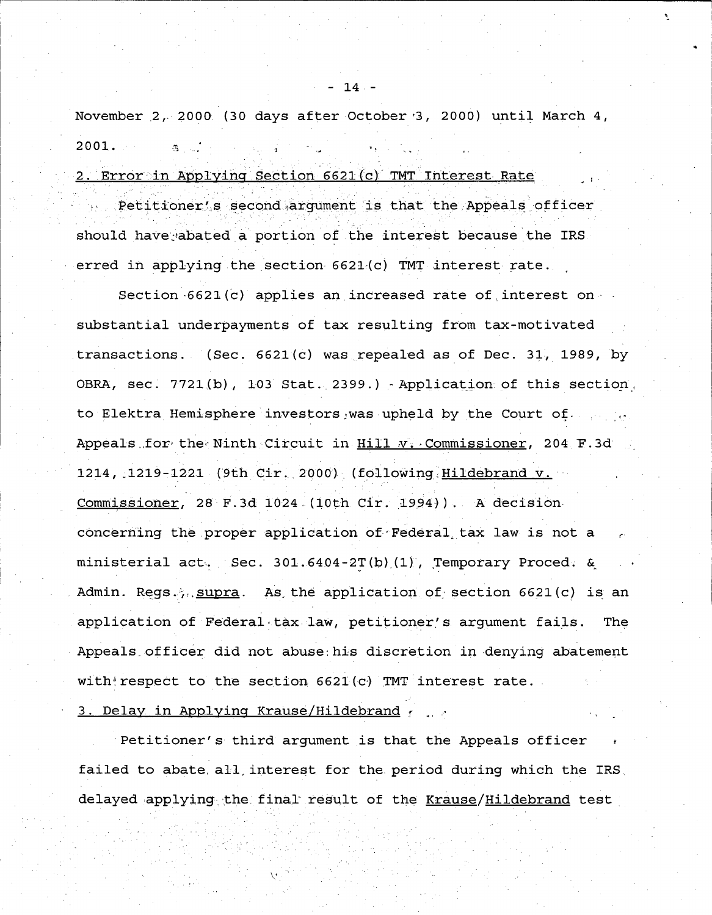November 2, 2000 (30 days after October 3, 2000) until March 4,  $2001.$ 

# 2. Error in Applying Section 6621(c) TMT Interest Rate

should have, abated a portion of the interest because the IRS erred in applying the section  $6621(c)$  TMT interest rate. Petitioner's second argument is that the Appeals officer

Section  $6621(c)$  applies an increased rate of interest on  $\cdot$ substantial underpayments of tax resulting from tax-motivated transactions. (Sec.  $6621(c)$  was repealed as of Dec. 31, 1989, by OBRA,  $sec. 7721(b)$ , 103 Stat. 2399.) - Application of this section, to Elektra Hemisphere investors was upheld by the Court of . . . . . Appeals for the Ninth Circuit in  $Hill$  v. Commissioner, 204 F.3d 1214, .1219-1221 (9th Cir .,2000)\_(following Hildebrand **V .** Commissioner, 28 F.3d 1024 (10th Cir. 1994)). A decision concerning the proper application of Federal tax law is not a ministerial act. . Sec. 301.6404-2T(b)(1), Temporary Proced.  $\&$ Admin. Regs ..., supra. As the application of section 6621(c) is an application of Federal tax law, petitioner's argument fails. The Appeals officer did not abuse his discretion in denying abatement with respect to the section  $6621(c)$  TMT interest rate. Appeals officer did not abuse his discretion in denying abate<br>with respect to the section 6621(c) TMT interest rate.<br>3. Delay in Applying Krause/Hildebrand t , ...

Petitioner's third argument is that the Appeals officer failed to abate, all, interest for the period during which the IRS, delayed applying the final result of the Krause/Hildebrand test

 $14 -$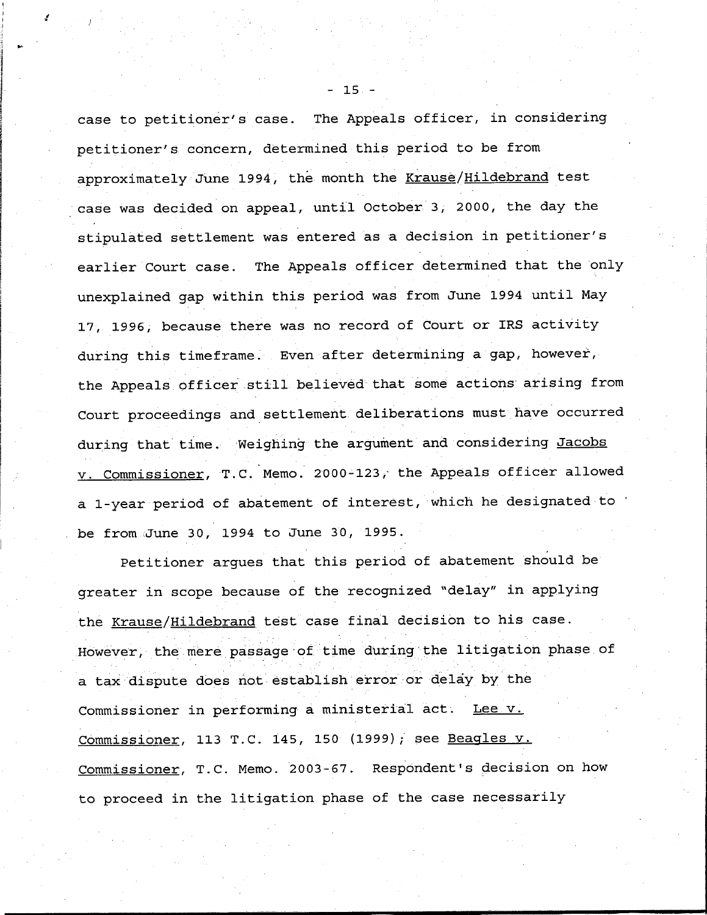case to petitioner's case. The Appeals officer, in considering petitioner's concern, determined this period to be from approximately June 1994, the month the Krause/Hildebrand test case was decided on appeal, until October 3, 2000, the day the stipulated settlement was entered as a decision in petitioner's earlier Court case. The Appeals officer determined that the only unexplained gap within this period was from June 1994 until May 17, 1996, because there was no record of Court or IRS activity during this timeframe. Even after determining a gap, however, the Appeals officer still believed that some actions arising from Court proceedings and settlement deliberations must have occurred during that time. Weighing the argument and considering Jacobs v. Commissioner, T.C. Memo. 2000-123, the Appeals officer allowed a 1-year period of abatement of interest, which he designated to be from,June 30, 1994 to June 30, 1995 .

Petitioner argues that this period of abatement should be greater in scope because of the recognized "delay" in applying the Krause/Hildebrand test case final decision to his case. However, the mere passage of time during the litigation phase of a tax dispute does not establish error or delay by the Commissioner in performing a ministerial act. Lee v. Commissioner, 113 T.C. 145, 150 (1999); see Beagles v. Commissioner, T.C. Memo. 2003-67. Respondent's decision on how to proceed in the litigation phase of the case necessarily

 $-15 -$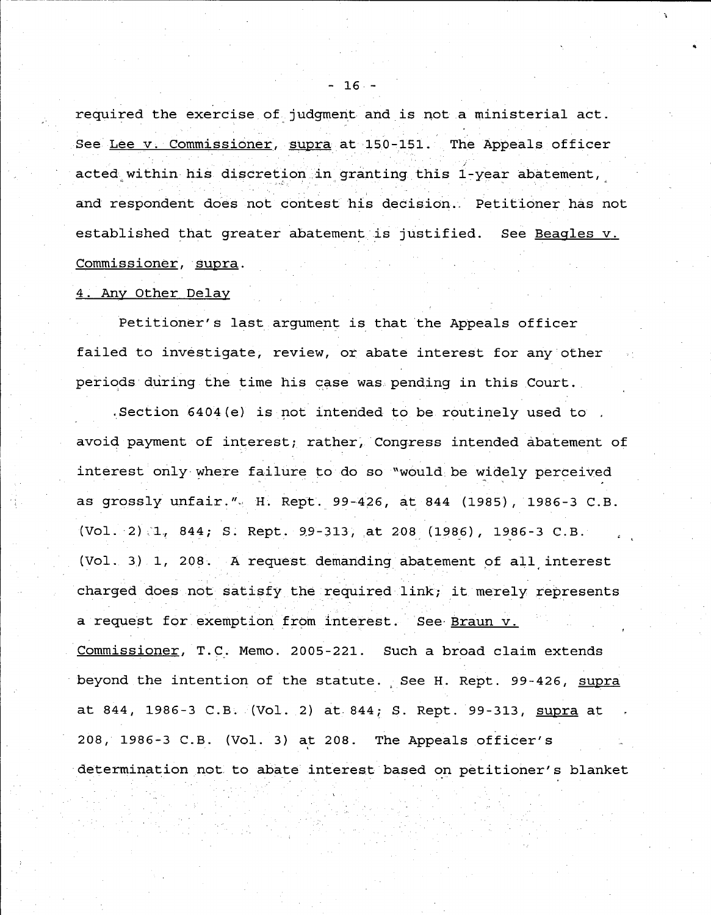required the exercise of judgment and is not a ministerial act. See Lee v. Commissioner, supra at 150-151. The Appeals officer acted within his discretion in granting this 1-year abatement, and respondent does not contest his decision. Petitioner has not established that greater abatement is justified. See Beagles v. Commissioner, supra.

### 4 . Any Other Delay

Petitioner's last argument is that the Appeals officer failed to investigate, review, or abate interest for any other periods during the time his case was pending in this Court.

.Section 6404(e) is not intended to be routinely used to avoid payment of interest; rather, Congress intended abatement of interest only-where failure to do so "would be widely perceived as grossly unfair." H. Rept. 99-426, at 844 (1985), 1986-3 C.B. (Vol . 2 **) ;"1,, 844 ; S . Rept .** 99-313, at 208 (1986), 1986-3 C .B . (Vol . 3) .1, 208 . A request demanding abatement of all interest charged does not satisfy the required link; it merely represents a request for exemption from interest. See Braun v. Commissioner, T.C. Memo. 2005-221. Such a broad claim extends beyond the intention of the statute. See H. Rept. 99-426, supra at 844, 1986-3 C.B. (Vol. 2) at 844; S. Rept. 99-313, supra at 208, 1986-3 C.B. (Vol. 3) at 208. The Appeals officer's determination not to abate interest based on petitioner's blanket

 $-16-$